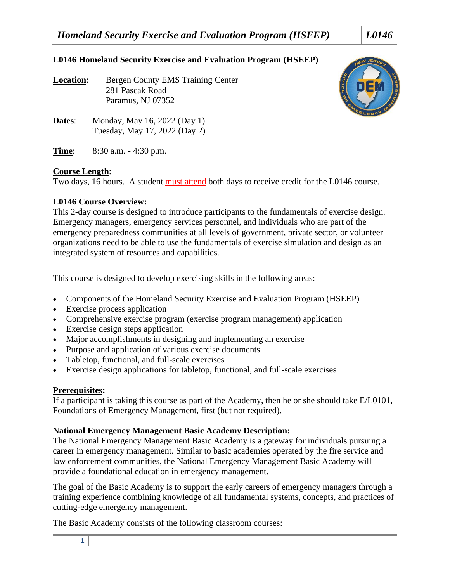## **L0146 Homeland Security Exercise and Evaluation Program (HSEEP)**

**Location:** Bergen County EMS Training Center 281 Pascak Road Paramus, NJ 07352



- **Dates:** Monday, May 16, 2022 (Day 1) Tuesday, May 17, 2022 (Day 2)
- **Time**: 8:30 a.m. 4:30 p.m.

## **Course Length**:

Two days, 16 hours. A student must attend both days to receive credit for the L0146 course.

## **L0146 Course Overview:**

This 2-day course is designed to introduce participants to the fundamentals of exercise design. Emergency managers, emergency services personnel, and individuals who are part of the emergency preparedness communities at all levels of government, private sector, or volunteer organizations need to be able to use the fundamentals of exercise simulation and design as an integrated system of resources and capabilities.

This course is designed to develop exercising skills in the following areas:

- Components of the Homeland Security Exercise and Evaluation Program (HSEEP)
- Exercise process application
- Comprehensive exercise program (exercise program management) application
- Exercise design steps application
- Major accomplishments in designing and implementing an exercise
- Purpose and application of various exercise documents
- Tabletop, functional, and full-scale exercises
- Exercise design applications for tabletop, functional, and full-scale exercises

## **Prerequisites:**

If a participant is taking this course as part of the Academy, then he or she should take E/L0101, Foundations of Emergency Management, first (but not required).

### **National Emergency Management Basic Academy Description:**

The National Emergency Management Basic Academy is a gateway for individuals pursuing a career in emergency management. Similar to basic academies operated by the fire service and law enforcement communities, the National Emergency Management Basic Academy will provide a foundational education in emergency management.

The goal of the Basic Academy is to support the early careers of emergency managers through a training experience combining knowledge of all fundamental systems, concepts, and practices of cutting-edge emergency management.

The Basic Academy consists of the following classroom courses: